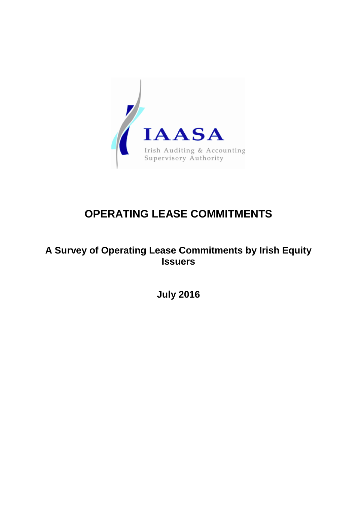

# **OPERATING LEASE COMMITMENTS**

## **A Survey of Operating Lease Commitments by Irish Equity Issuers**

**July 2016**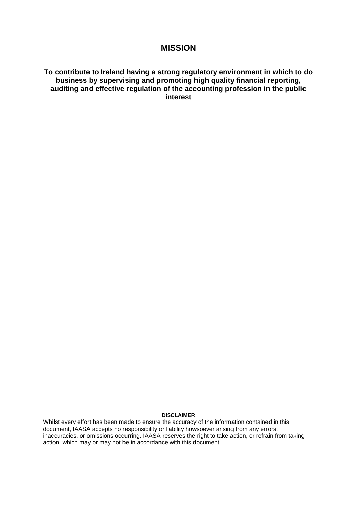## **MISSION**

#### **To contribute to Ireland having a strong regulatory environment in which to do business by supervising and promoting high quality financial reporting, auditing and effective regulation of the accounting profession in the public interest**

#### **DISCLAIMER**

Whilst every effort has been made to ensure the accuracy of the information contained in this document, IAASA accepts no responsibility or liability howsoever arising from any errors, inaccuracies, or omissions occurring. IAASA reserves the right to take action, or refrain from taking action, which may or may not be in accordance with this document.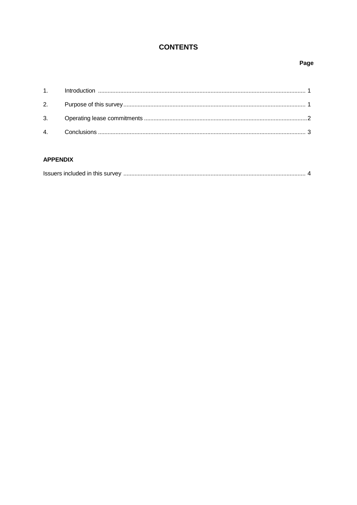## **CONTENTS**

#### Page

#### **APPENDIX**

| Issuers included in this survey |  |
|---------------------------------|--|
|                                 |  |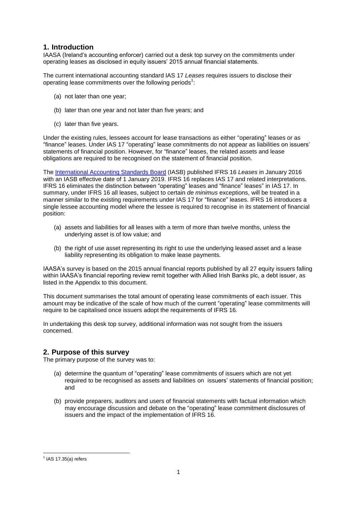#### **1. Introduction**

IAASA (Ireland's accounting enforcer) carried out a desk top survey on the commitments under operating leases as disclosed in equity issuers' 2015 annual financial statements.

The current international accounting standard IAS 17 *Leases* requires issuers to disclose their operating lease commitments over the following periods<sup>1</sup>:

- (a) not later than one year;
- (b) later than one year and not later than five years; and
- (c) later than five years.

Under the existing rules, lessees account for lease transactions as either "operating" leases or as "finance" leases. Under IAS 17 "operating" lease commitments do not appear as liabilities on issuers' statements of financial position. However, for "finance" leases, the related assets and lease obligations are required to be recognised on the statement of financial position.

The [International Accounting Standards Board](http://www.ifrs.org/Pages/default.aspx) (IASB) published IFRS 16 *Leases* in January 2016 with an IASB effective date of 1 January 2019. IFRS 16 replaces IAS 17 and related interpretations. IFRS 16 eliminates the distinction between "operating" leases and "finance" leases" in IAS 17. In summary, under IFRS 16 all leases, subject to certain *de minimus* exceptions, will be treated in a manner similar to the existing requirements under IAS 17 for "finance" leases. IFRS 16 introduces a single lessee accounting model where the lessee is required to recognise in its statement of financial position:

- (a) assets and liabilities for all leases with a term of more than twelve months, unless the underlying asset is of low value; and
- (b) the right of use asset representing its right to use the underlying leased asset and a lease liability representing its obligation to make lease payments.

IAASA's survey is based on the 2015 annual financial reports published by all 27 equity issuers falling within IAASA's financial reporting review remit together with Allied Irish Banks plc, a debt issuer, as listed in the Appendix to this document.

This document summarises the total amount of operating lease commitments of each issuer. This amount may be indicative of the scale of how much of the current "operating" lease commitments will require to be capitalised once issuers adopt the requirements of IFRS 16.

In undertaking this desk top survey, additional information was not sought from the issuers concerned.

#### **2. Purpose of this survey**

The primary purpose of the survey was to:

- (a) determine the quantum of "operating" lease commitments of issuers which are not yet required to be recognised as assets and liabilities on issuers' statements of financial position; and
- (b) provide preparers, auditors and users of financial statements with factual information which may encourage discussion and debate on the "operating" lease commitment disclosures of issuers and the impact of the implementation of IFRS 16.

**<sup>.</sup>**  $<sup>1</sup>$  IAS 17.35(a) refers</sup>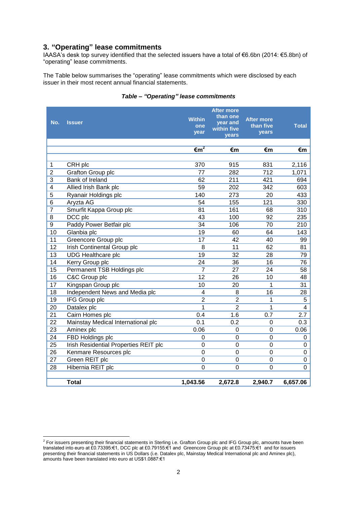#### **3. "Operating" lease commitments**

IAASA's desk top survey identified that the selected issuers have a total of €6.6bn (2014: €5.8bn) of "operating" lease commitments.

The Table below summarises the "operating" lease commitments which were disclosed by each issuer in their most recent annual financial statements.

| No.                     | <b>Issuer</b>                         | <b>Within</b><br>one<br>year | <b>After more</b><br>than one<br>year and<br>within five<br><b>vears</b> | <b>After more</b><br>than five<br>years | Total    |
|-------------------------|---------------------------------------|------------------------------|--------------------------------------------------------------------------|-----------------------------------------|----------|
|                         |                                       | $\epsilon \overline{m}^2$    | €m                                                                       | €m                                      | €m       |
|                         |                                       |                              |                                                                          |                                         |          |
| 1                       | CRH plc                               | 370                          | 915                                                                      | 831                                     | 2,116    |
| $\overline{2}$          | Grafton Group plc                     | 77                           | 282                                                                      | 712                                     | 1,071    |
| 3                       | Bank of Ireland                       | 62                           | 211                                                                      | 421                                     | 694      |
| $\overline{\mathbf{4}}$ | Allied Irish Bank plc                 | 59                           | 202                                                                      | 342                                     | 603      |
| 5                       | Ryanair Holdings plc                  | 140                          | 273                                                                      | 20                                      | 433      |
| 6                       | Aryzta AG                             | 54                           | 155                                                                      | 121                                     | 330      |
| $\overline{7}$          | Smurfit Kappa Group plc               | 81                           | 161                                                                      | 68                                      | 310      |
| 8                       | DCC plc                               | 43                           | 100                                                                      | 92                                      | 235      |
| 9                       | Paddy Power Betfair plc               | 34                           | 106                                                                      | 70                                      | 210      |
| 10                      | Glanbia plc                           | 19                           | 60                                                                       | 64                                      | 143      |
| 11                      | Greencore Group plc                   | 17                           | 42                                                                       | 40                                      | 99       |
| 12                      | Irish Continental Group plc           | 8                            | 11                                                                       | 62                                      | 81       |
| 13                      | <b>UDG Healthcare plc</b>             | 19                           | 32                                                                       | 28                                      | 79       |
| 14                      | Kerry Group plc                       | 24                           | 36                                                                       | 16                                      | 76       |
| 15                      | Permanent TSB Holdings plc            | 7                            | 27                                                                       | 24                                      | 58       |
| 16                      | C&C Group plc                         | 12                           | 26                                                                       | 10                                      | 48       |
| 17                      | Kingspan Group plc                    | 10                           | 20                                                                       | 1                                       | 31       |
| 18                      | Independent News and Media plc        | 4                            | 8                                                                        | 16                                      | 28       |
| 19                      | IFG Group plc                         | $\overline{2}$               | $\overline{2}$                                                           | 1                                       | 5        |
| 20                      | Datalex plc                           | 1                            | $\overline{2}$                                                           | 1                                       | 4        |
| 21                      | Cairn Homes plc                       | 0.4                          | 1.6                                                                      | 0.7                                     | 2.7      |
| 22                      | Mainstay Medical International plc    | 0.1                          | 0.2                                                                      | 0                                       | 0.3      |
| 23                      | Aminex plc                            | 0.06                         | 0                                                                        | 0                                       | 0.06     |
| 24                      | FBD Holdings plc                      | 0                            | 0                                                                        | 0                                       | 0        |
| 25                      | Irish Residential Properties REIT plc | $\mathbf 0$                  | 0                                                                        | $\mathbf 0$                             | 0        |
| 26                      | Kenmare Resources plc                 | $\overline{0}$               | 0                                                                        | $\overline{0}$                          | 0        |
| 27                      | Green REIT plc                        | $\mathbf 0$                  | 0                                                                        | 0                                       | 0        |
| 28                      | Hibernia REIT plc                     | $\mathbf 0$                  | 0                                                                        | 0                                       | 0        |
|                         |                                       |                              |                                                                          |                                         |          |
|                         | <b>Total</b>                          | 1,043.56                     | 2,672.8                                                                  | 2,940.7                                 | 6,657.06 |

#### *Table – "Operating" lease commitments*

 2 For issuers presenting their financial statements in Sterling i.e. Grafton Group plc and IFG Group plc, amounts have been translated into euro at £0.73395:€1, DCC plc at £0.79155:€1 and Greencore Group plc at £0.73475:€1 and for issuers presenting their financial statements in US Dollars (i.e. Datalex plc, Mainstay Medical International plc and Aminex plc), amounts have been translated into euro at US\$1.0887:€1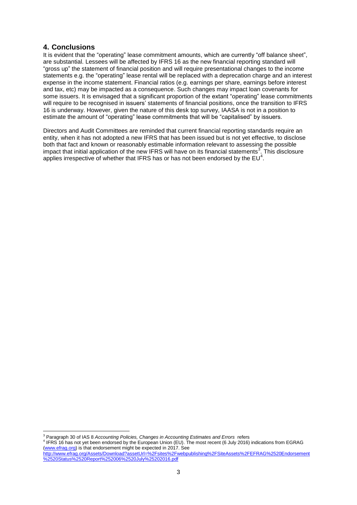#### **4. Conclusions**

It is evident that the "operating" lease commitment amounts, which are currently "off balance sheet", are substantial. Lessees will be affected by IFRS 16 as the new financial reporting standard will "gross up" the statement of financial position and will require presentational changes to the income statements e.g. the "operating" lease rental will be replaced with a deprecation charge and an interest expense in the income statement. Financial ratios (e.g. earnings per share, earnings before interest and tax, etc) may be impacted as a consequence. Such changes may impact loan covenants for some issuers. It is envisaged that a significant proportion of the extant "operating" lease commitments will require to be recognised in issuers' statements of financial positions, once the transition to IFRS 16 is underway. However, given the nature of this desk top survey, IAASA is not in a position to estimate the amount of "operating" lease commitments that will be "capitalised" by issuers.

Directors and Audit Committees are reminded that current financial reporting standards require an entity, when it has not adopted a new IFRS that has been issued but is not yet effective, to disclose both that fact and known or reasonably estimable information relevant to assessing the possible impact that initial application of the new IFRS will have on its financial statements<sup>3</sup>. This disclosure applies irrespective of whether that IFRS has or has not been endorsed by the  $EU^4$ .

4 IFRS 16 has not yet been endorsed by the European Union (EU). The most recent (6 July 2016) indications from EGRAG [\(www.efrag.org\)](http://www.efrag.org/) is that endorsement might be expected in 2017. See

**<sup>.</sup>** <sup>3</sup> Paragraph 30 of IAS 8 *Accounting Policies, Changes in Accounting Estimates and Errors refers* 

[http://www.efrag.org/Assets/Download?assetUrl=%2Fsites%2Fwebpublishing%2FSiteAssets%2FEFRAG%2520Endorsement](http://www.efrag.org/Assets/Download?assetUrl=%2Fsites%2Fwebpublishing%2FSiteAssets%2FEFRAG%2520Endorsement%2520Status%2520Report%252006%2520July%25202016.pdf) [%2520Status%2520Report%252006%2520July%25202016.pdf](http://www.efrag.org/Assets/Download?assetUrl=%2Fsites%2Fwebpublishing%2FSiteAssets%2FEFRAG%2520Endorsement%2520Status%2520Report%252006%2520July%25202016.pdf)